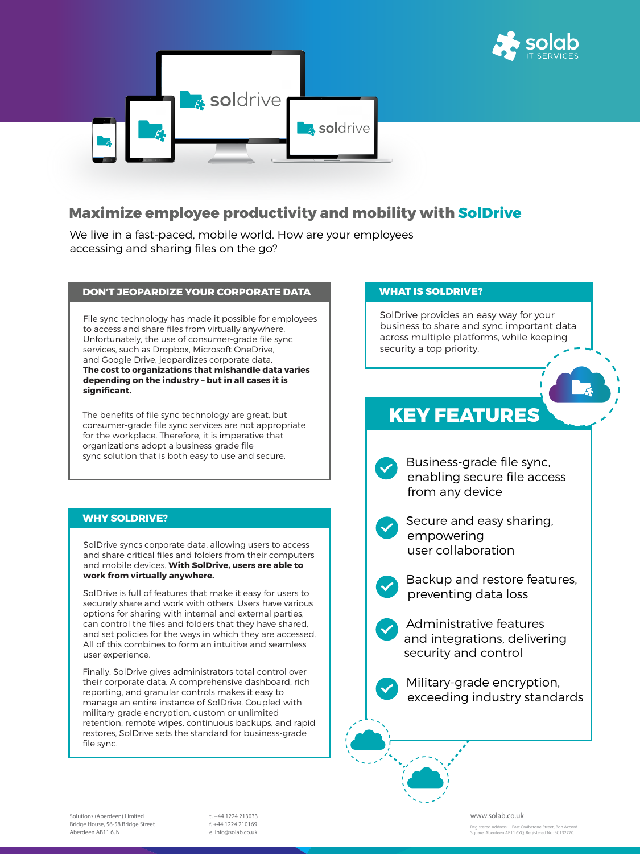



## **Maximize employee productivity and mobility with SolDrive**

We live in a fast-paced, mobile world. How are your employees accessing and sharing files on the go?

### **DON'T JEOPARDIZE YOUR CORPORATE DATA WHAT IS SOLDRIVE?**

File sync technology has made it possible for employees to access and share files from virtually anywhere. Unfortunately, the use of consumer-grade file sync services, such as Dropbox, Microsoft OneDrive, and Google Drive, jeopardizes corporate data. **The cost to organizations that mishandle data varies depending on the industry – but in all cases it is significant.**

The benefits of file sync technology are great, but consumer-grade file sync services are not appropriate for the workplace. Therefore, it is imperative that organizations adopt a business-grade file sync solution that is both easy to use and secure.

SolDrive syncs corporate data, allowing users to access and share critical files and folders from their computers and mobile devices. **With SolDrive, users are able to work from virtually anywhere.**

SolDrive is full of features that make it easy for users to securely share and work with others. Users have various options for sharing with internal and external parties, can control the files and folders that they have shared, and set policies for the ways in which they are accessed.

All of this combines to form an intuitive and seamless user experience.

Finally, SolDrive gives administrators total control over their corporate data. A comprehensive dashboard, rich reporting, and granular controls makes it easy to manage an entire instance of SolDrive. Coupled with military-grade encryption, custom or unlimited retention, remote wipes, continuous backups, and rapid restores, SolDrive sets the standard for business-grade file sync.

SolDrive provides an easy way for your business to share and sync important data across multiple platforms, while keeping security a top priority.

### **WHY SOLDRIVE?**



 Secure and easy sharing, empowering user collaboration



 Backup and restore features, preventing data loss

 Administrative features and integrations, delivering

security and control

 Military-grade encryption, exceeding industry standards

## **KEY FEATURES**

Registered Address: 1 East Craibstone Street, Bon Accord Square, Aberdeen AB11 6YQ. Registered No: SC132770.

**Solutions (Aberdeen) Limited** Bridge House, 56-58 Bridge Street Aberdeen AB11 6JN

t. +44 1224 213033 f. +44 1224 210169 e. info@solab.co.uk

#### **www.solab.co.uk**